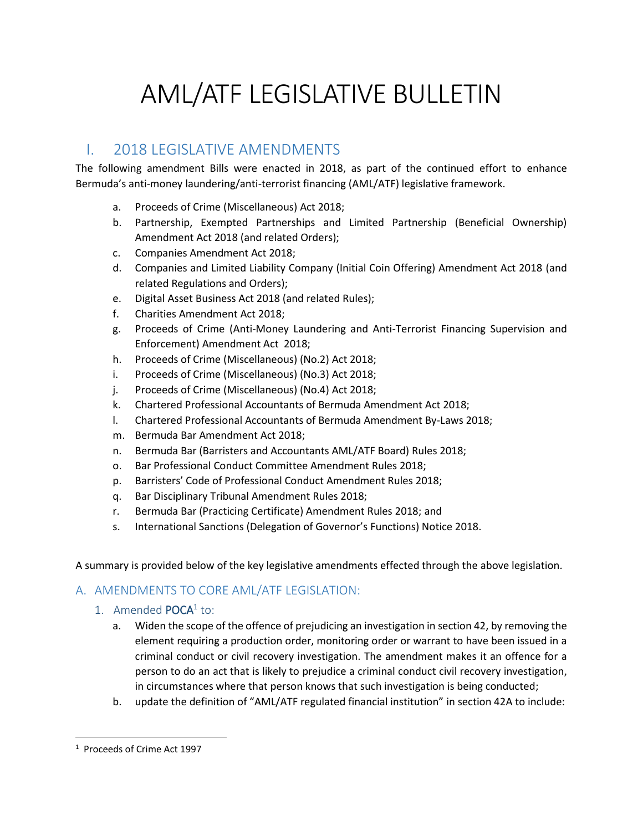# AML/ATF LEGISLATIVE BULLETIN

# I. 2018 LEGISLATIVE AMENDMENTS

The following amendment Bills were enacted in 2018, as part of the continued effort to enhance Bermuda's anti-money laundering/anti-terrorist financing (AML/ATF) legislative framework.

- a. Proceeds of Crime (Miscellaneous) Act 2018;
- b. Partnership, Exempted Partnerships and Limited Partnership (Beneficial Ownership) Amendment Act 2018 (and related Orders);
- c. Companies Amendment Act 2018;
- d. Companies and Limited Liability Company (Initial Coin Offering) Amendment Act 2018 (and related Regulations and Orders);
- e. Digital Asset Business Act 2018 (and related Rules);
- f. Charities Amendment Act 2018;
- g. Proceeds of Crime (Anti-Money Laundering and Anti-Terrorist Financing Supervision and Enforcement) Amendment Act 2018;
- h. Proceeds of Crime (Miscellaneous) (No.2) Act 2018;
- i. Proceeds of Crime (Miscellaneous) (No.3) Act 2018;
- j. Proceeds of Crime (Miscellaneous) (No.4) Act 2018;
- k. Chartered Professional Accountants of Bermuda Amendment Act 2018;
- l. Chartered Professional Accountants of Bermuda Amendment By-Laws 2018;
- m. Bermuda Bar Amendment Act 2018;
- n. Bermuda Bar (Barristers and Accountants AML/ATF Board) Rules 2018;
- o. Bar Professional Conduct Committee Amendment Rules 2018;
- p. Barristers' Code of Professional Conduct Amendment Rules 2018;
- q. Bar Disciplinary Tribunal Amendment Rules 2018;
- r. Bermuda Bar (Practicing Certificate) Amendment Rules 2018; and
- s. International Sanctions (Delegation of Governor's Functions) Notice 2018.

A summary is provided below of the key legislative amendments effected through the above legislation.

# A. AMENDMENTS TO CORE AML/ATF LEGISLATION:

- 1. Amended POCA<sup>1</sup> to:
	- a. Widen the scope of the offence of prejudicing an investigation in section 42, by removing the element requiring a production order, monitoring order or warrant to have been issued in a criminal conduct or civil recovery investigation. The amendment makes it an offence for a person to do an act that is likely to prejudice a criminal conduct civil recovery investigation, in circumstances where that person knows that such investigation is being conducted;
	- b. update the definition of "AML/ATF regulated financial institution" in section 42A to include:

 $\overline{\phantom{a}}$ 

<sup>1</sup> Proceeds of Crime Act 1997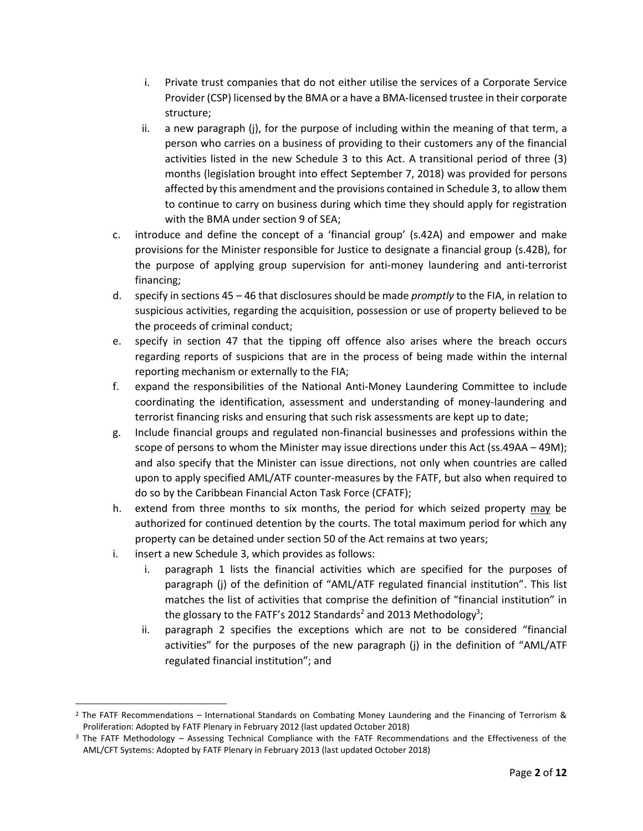- i. Private trust companies that do not either utilise the services of a Corporate Service Provider (CSP) licensed by the BMA or a have a BMA-licensed trustee in their corporate structure;
- ii. a new paragraph (j), for the purpose of including within the meaning of that term, a person who carries on a business of providing to their customers any of the financial activities listed in the new Schedule 3 to this Act. A transitional period of three (3) months (legislation brought into effect September 7, 2018) was provided for persons affected by this amendment and the provisions contained in Schedule 3, to allow them to continue to carry on business during which time they should apply for registration with the BMA under section 9 of SEA;
- c. introduce and define the concept of a 'financial group' (s.42A) and empower and make provisions for the Minister responsible for Justice to designate a financial group (s.42B), for the purpose of applying group supervision for anti-money laundering and anti-terrorist financing;
- d. specify in sections 45 46 that disclosures should be made *promptly* to the FIA, in relation to suspicious activities, regarding the acquisition, possession or use of property believed to be the proceeds of criminal conduct;
- e. specify in section 47 that the tipping off offence also arises where the breach occurs regarding reports of suspicions that are in the process of being made within the internal reporting mechanism or externally to the FIA;
- f. expand the responsibilities of the National Anti-Money Laundering Committee to include coordinating the identification, assessment and understanding of money-laundering and terrorist financing risks and ensuring that such risk assessments are kept up to date;
- g. Include financial groups and regulated non-financial businesses and professions within the scope of persons to whom the Minister may issue directions under this Act (ss.49AA – 49M); and also specify that the Minister can issue directions, not only when countries are called upon to apply specified AML/ATF counter-measures by the FATF, but also when required to do so by the Caribbean Financial Acton Task Force (CFATF);
- h. extend from three months to six months, the period for which seized property may be authorized for continued detention by the courts. The total maximum period for which any property can be detained under section 50 of the Act remains at two years;
- i. insert a new Schedule 3, which provides as follows:

 $\overline{a}$ 

- i. paragraph 1 lists the financial activities which are specified for the purposes of paragraph (j) of the definition of "AML/ATF regulated financial institution". This list matches the list of activities that comprise the definition of "financial institution" in the glossary to the FATF's 2012 Standards<sup>2</sup> and 2013 Methodology<sup>3</sup>;
- ii. paragraph 2 specifies the exceptions which are not to be considered "financial activities" for the purposes of the new paragraph (j) in the definition of "AML/ATF regulated financial institution"; and

 $2$  The FATF Recommendations – International Standards on Combating Money Laundering and the Financing of Terrorism & Proliferation: Adopted by FATF Plenary in February 2012 (last updated October 2018)

<sup>&</sup>lt;sup>3</sup> The FATF Methodology – Assessing Technical Compliance with the FATF Recommendations and the Effectiveness of the AML/CFT Systems: Adopted by FATF Plenary in February 2013 (last updated October 2018)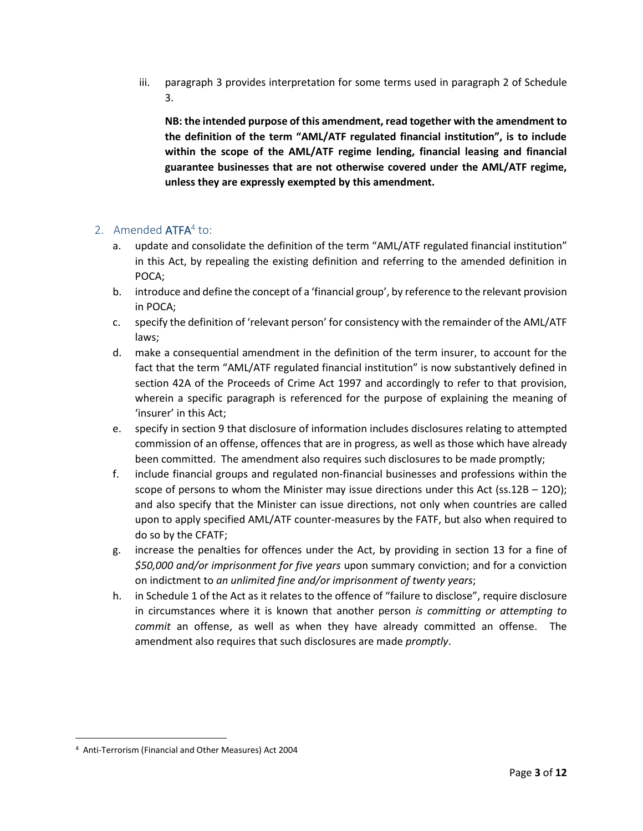iii. paragraph 3 provides interpretation for some terms used in paragraph 2 of Schedule 3.

**NB: the intended purpose of this amendment, read together with the amendment to the definition of the term "AML/ATF regulated financial institution", is to include within the scope of the AML/ATF regime lending, financial leasing and financial guarantee businesses that are not otherwise covered under the AML/ATF regime, unless they are expressly exempted by this amendment.**

## 2. Amended ATFA<sup>4</sup> to:

- a. update and consolidate the definition of the term "AML/ATF regulated financial institution" in this Act, by repealing the existing definition and referring to the amended definition in POCA;
- b. introduce and define the concept of a 'financial group', by reference to the relevant provision in POCA;
- c. specify the definition of 'relevant person' for consistency with the remainder of the AML/ATF laws;
- d. make a consequential amendment in the definition of the term insurer, to account for the fact that the term "AML/ATF regulated financial institution" is now substantively defined in section 42A of the Proceeds of Crime Act 1997 and accordingly to refer to that provision, wherein a specific paragraph is referenced for the purpose of explaining the meaning of 'insurer' in this Act;
- e. specify in section 9 that disclosure of information includes disclosures relating to attempted commission of an offense, offences that are in progress, as well as those which have already been committed. The amendment also requires such disclosures to be made promptly;
- f. include financial groups and regulated non-financial businesses and professions within the scope of persons to whom the Minister may issue directions under this Act (ss.12B  $-$  120); and also specify that the Minister can issue directions, not only when countries are called upon to apply specified AML/ATF counter-measures by the FATF, but also when required to do so by the CFATF;
- g. increase the penalties for offences under the Act, by providing in section 13 for a fine of *\$50,000 and/or imprisonment for five years* upon summary conviction; and for a conviction on indictment to *an unlimited fine and/or imprisonment of twenty years*;
- h. in Schedule 1 of the Act as it relates to the offence of "failure to disclose", require disclosure in circumstances where it is known that another person *is committing or attempting to commit* an offense, as well as when they have already committed an offense. The amendment also requires that such disclosures are made *promptly*.

 $\overline{a}$ 

<sup>4</sup> Anti-Terrorism (Financial and Other Measures) Act 2004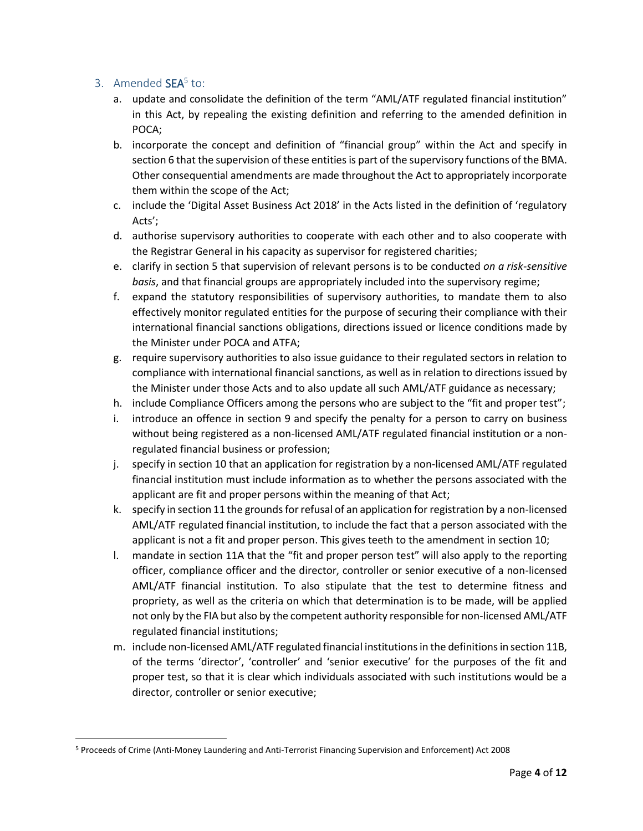#### 3. Amended SEA<sup>5</sup> to:

 $\overline{a}$ 

- a. update and consolidate the definition of the term "AML/ATF regulated financial institution" in this Act, by repealing the existing definition and referring to the amended definition in POCA;
- b. incorporate the concept and definition of "financial group" within the Act and specify in section 6 that the supervision of these entities is part of the supervisory functions of the BMA. Other consequential amendments are made throughout the Act to appropriately incorporate them within the scope of the Act;
- c. include the 'Digital Asset Business Act 2018' in the Acts listed in the definition of 'regulatory Acts';
- d. authorise supervisory authorities to cooperate with each other and to also cooperate with the Registrar General in his capacity as supervisor for registered charities;
- e. clarify in section 5 that supervision of relevant persons is to be conducted *on a risk-sensitive basis*, and that financial groups are appropriately included into the supervisory regime;
- f. expand the statutory responsibilities of supervisory authorities, to mandate them to also effectively monitor regulated entities for the purpose of securing their compliance with their international financial sanctions obligations, directions issued or licence conditions made by the Minister under POCA and ATFA;
- g. require supervisory authorities to also issue guidance to their regulated sectors in relation to compliance with international financial sanctions, as well as in relation to directions issued by the Minister under those Acts and to also update all such AML/ATF guidance as necessary;
- h. include Compliance Officers among the persons who are subject to the "fit and proper test";
- i. introduce an offence in section 9 and specify the penalty for a person to carry on business without being registered as a non-licensed AML/ATF regulated financial institution or a nonregulated financial business or profession;
- j. specify in section 10 that an application for registration by a non-licensed AML/ATF regulated financial institution must include information as to whether the persons associated with the applicant are fit and proper persons within the meaning of that Act;
- k. specify in section 11 the grounds for refusal of an application for registration by a non-licensed AML/ATF regulated financial institution, to include the fact that a person associated with the applicant is not a fit and proper person. This gives teeth to the amendment in section 10;
- l. mandate in section 11A that the "fit and proper person test" will also apply to the reporting officer, compliance officer and the director, controller or senior executive of a non-licensed AML/ATF financial institution. To also stipulate that the test to determine fitness and propriety, as well as the criteria on which that determination is to be made, will be applied not only by the FIA but also by the competent authority responsible for non-licensed AML/ATF regulated financial institutions;
- m. include non-licensed AML/ATF regulated financial institutions in the definitionsin section 11B, of the terms 'director', 'controller' and 'senior executive' for the purposes of the fit and proper test, so that it is clear which individuals associated with such institutions would be a director, controller or senior executive;

<sup>5</sup> Proceeds of Crime (Anti-Money Laundering and Anti-Terrorist Financing Supervision and Enforcement) Act 2008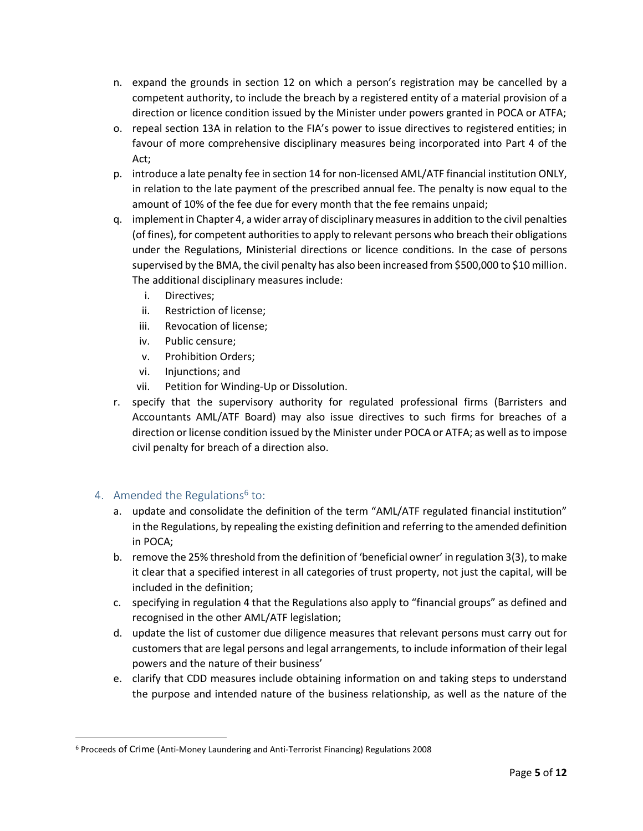- n. expand the grounds in section 12 on which a person's registration may be cancelled by a competent authority, to include the breach by a registered entity of a material provision of a direction or licence condition issued by the Minister under powers granted in POCA or ATFA;
- o. repeal section 13A in relation to the FIA's power to issue directives to registered entities; in favour of more comprehensive disciplinary measures being incorporated into Part 4 of the Act;
- p. introduce a late penalty fee in section 14 for non-licensed AML/ATF financial institution ONLY, in relation to the late payment of the prescribed annual fee. The penalty is now equal to the amount of 10% of the fee due for every month that the fee remains unpaid;
- q. implement in Chapter 4, a wider array of disciplinary measures in addition to the civil penalties (of fines), for competent authorities to apply to relevant persons who breach their obligations under the Regulations, Ministerial directions or licence conditions. In the case of persons supervised by the BMA, the civil penalty has also been increased from \$500,000 to \$10 million. The additional disciplinary measures include:
	- i. Directives;
	- ii. Restriction of license;
	- iii. Revocation of license;
	- iv. Public censure;
	- v. Prohibition Orders;
	- vi. Injunctions; and
	- vii. Petition for Winding-Up or Dissolution.
- r. specify that the supervisory authority for regulated professional firms (Barristers and Accountants AML/ATF Board) may also issue directives to such firms for breaches of a direction or license condition issued by the Minister under POCA or ATFA; as well as to impose civil penalty for breach of a direction also.

#### 4. Amended the Regulations<sup>6</sup> to:

 $\overline{\phantom{a}}$ 

- a. update and consolidate the definition of the term "AML/ATF regulated financial institution" in the Regulations, by repealing the existing definition and referring to the amended definition in POCA;
- b. remove the 25% threshold from the definition of 'beneficial owner' in regulation 3(3), to make it clear that a specified interest in all categories of trust property, not just the capital, will be included in the definition;
- c. specifying in regulation 4 that the Regulations also apply to "financial groups" as defined and recognised in the other AML/ATF legislation;
- d. update the list of customer due diligence measures that relevant persons must carry out for customers that are legal persons and legal arrangements, to include information of their legal powers and the nature of their business'
- e. clarify that CDD measures include obtaining information on and taking steps to understand the purpose and intended nature of the business relationship, as well as the nature of the

<sup>6</sup> Proceeds of Crime (Anti-Money Laundering and Anti-Terrorist Financing) Regulations 2008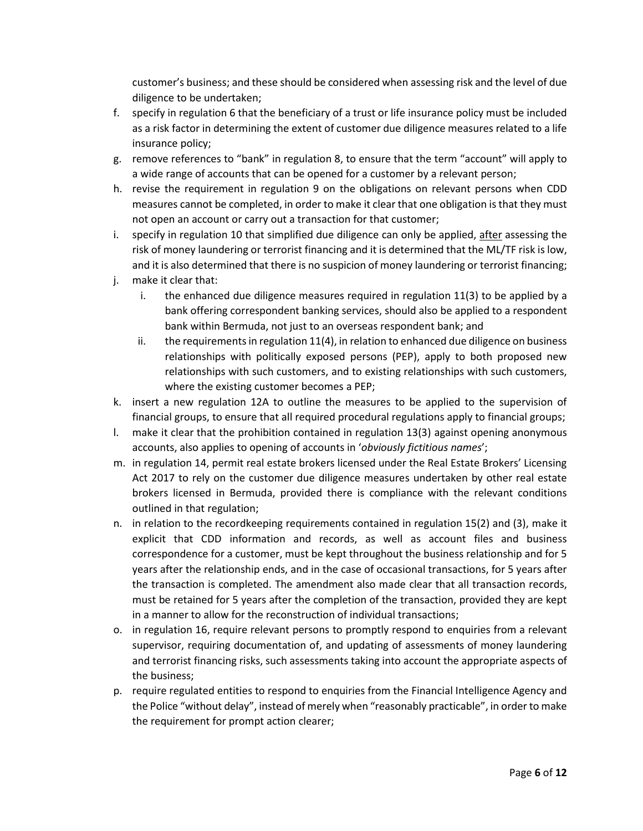customer's business; and these should be considered when assessing risk and the level of due diligence to be undertaken;

- f. specify in regulation 6 that the beneficiary of a trust or life insurance policy must be included as a risk factor in determining the extent of customer due diligence measures related to a life insurance policy;
- g. remove references to "bank" in regulation 8, to ensure that the term "account" will apply to a wide range of accounts that can be opened for a customer by a relevant person;
- h. revise the requirement in regulation 9 on the obligations on relevant persons when CDD measures cannot be completed, in order to make it clear that one obligation is that they must not open an account or carry out a transaction for that customer;
- i. specify in regulation 10 that simplified due diligence can only be applied, after assessing the risk of money laundering or terrorist financing and it is determined that the ML/TF risk is low, and it is also determined that there is no suspicion of money laundering or terrorist financing;
- j. make it clear that:
	- i. the enhanced due diligence measures required in regulation 11(3) to be applied by a bank offering correspondent banking services, should also be applied to a respondent bank within Bermuda, not just to an overseas respondent bank; and
	- ii. the requirements in regulation 11(4), in relation to enhanced due diligence on business relationships with politically exposed persons (PEP), apply to both proposed new relationships with such customers, and to existing relationships with such customers, where the existing customer becomes a PEP;
- k. insert a new regulation 12A to outline the measures to be applied to the supervision of financial groups, to ensure that all required procedural regulations apply to financial groups;
- l. make it clear that the prohibition contained in regulation 13(3) against opening anonymous accounts, also applies to opening of accounts in '*obviously fictitious names*';
- m. in regulation 14, permit real estate brokers licensed under the Real Estate Brokers' Licensing Act 2017 to rely on the customer due diligence measures undertaken by other real estate brokers licensed in Bermuda, provided there is compliance with the relevant conditions outlined in that regulation;
- n. in relation to the recordkeeping requirements contained in regulation 15(2) and (3), make it explicit that CDD information and records, as well as account files and business correspondence for a customer, must be kept throughout the business relationship and for 5 years after the relationship ends, and in the case of occasional transactions, for 5 years after the transaction is completed. The amendment also made clear that all transaction records, must be retained for 5 years after the completion of the transaction, provided they are kept in a manner to allow for the reconstruction of individual transactions;
- o. in regulation 16, require relevant persons to promptly respond to enquiries from a relevant supervisor, requiring documentation of, and updating of assessments of money laundering and terrorist financing risks, such assessments taking into account the appropriate aspects of the business;
- p. require regulated entities to respond to enquiries from the Financial Intelligence Agency and the Police "without delay", instead of merely when "reasonably practicable", in order to make the requirement for prompt action clearer;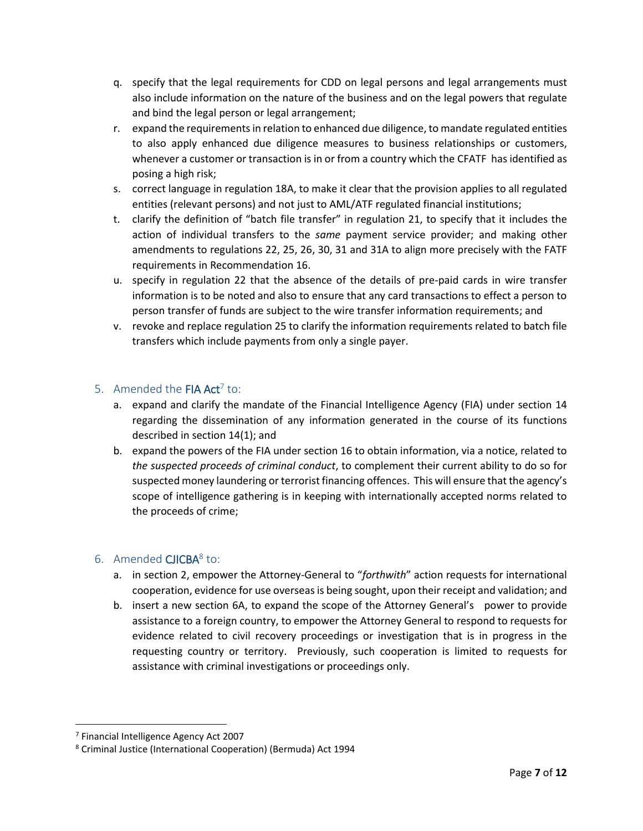- q. specify that the legal requirements for CDD on legal persons and legal arrangements must also include information on the nature of the business and on the legal powers that regulate and bind the legal person or legal arrangement;
- r. expand the requirements in relation to enhanced due diligence, to mandate regulated entities to also apply enhanced due diligence measures to business relationships or customers, whenever a customer or transaction is in or from a country which the CFATF has identified as posing a high risk;
- s. correct language in regulation 18A, to make it clear that the provision applies to all regulated entities (relevant persons) and not just to AML/ATF regulated financial institutions;
- t. clarify the definition of "batch file transfer" in regulation 21, to specify that it includes the action of individual transfers to the *same* payment service provider; and making other amendments to regulations 22, 25, 26, 30, 31 and 31A to align more precisely with the FATF requirements in Recommendation 16.
- u. specify in regulation 22 that the absence of the details of pre-paid cards in wire transfer information is to be noted and also to ensure that any card transactions to effect a person to person transfer of funds are subject to the wire transfer information requirements; and
- v. revoke and replace regulation 25 to clarify the information requirements related to batch file transfers which include payments from only a single payer.

#### 5. Amended the **FIA Act**<sup>7</sup> to:

- a. expand and clarify the mandate of the Financial Intelligence Agency (FIA) under section 14 regarding the dissemination of any information generated in the course of its functions described in section 14(1); and
- b. expand the powers of the FIA under section 16 to obtain information, via a notice, related to *the suspected proceeds of criminal conduct*, to complement their current ability to do so for suspected money laundering or terrorist financing offences. This will ensure that the agency's scope of intelligence gathering is in keeping with internationally accepted norms related to the proceeds of crime;

# 6. Amended CJICBA<sup>8</sup> to:

- a. in section 2, empower the Attorney-General to "*forthwith*" action requests for international cooperation, evidence for use overseas is being sought, upon their receipt and validation; and
- b. insert a new section 6A, to expand the scope of the Attorney General's power to provide assistance to a foreign country, to empower the Attorney General to respond to requests for evidence related to civil recovery proceedings or investigation that is in progress in the requesting country or territory. Previously, such cooperation is limited to requests for assistance with criminal investigations or proceedings only.

l

<sup>7</sup> Financial Intelligence Agency Act 2007

<sup>8</sup> Criminal Justice (International Cooperation) (Bermuda) Act 1994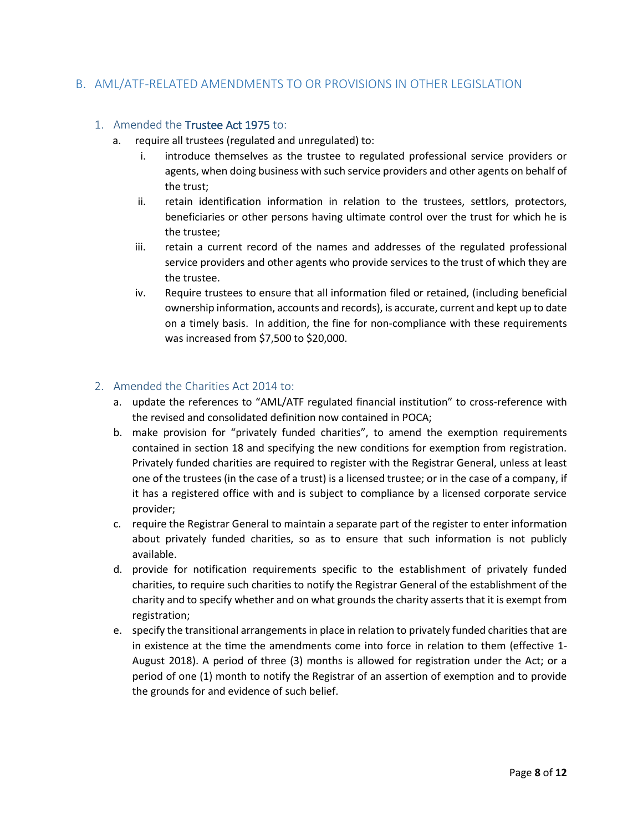### B. AML/ATF-RELATED AMENDMENTS TO OR PROVISIONS IN OTHER LEGISLATION

#### 1. Amended the Trustee Act 1975 to:

- a. require all trustees (regulated and unregulated) to:
	- i. introduce themselves as the trustee to regulated professional service providers or agents, when doing business with such service providers and other agents on behalf of the trust;
	- ii. retain identification information in relation to the trustees, settlors, protectors, beneficiaries or other persons having ultimate control over the trust for which he is the trustee;
	- iii. retain a current record of the names and addresses of the regulated professional service providers and other agents who provide services to the trust of which they are the trustee.
	- iv. Require trustees to ensure that all information filed or retained, (including beneficial ownership information, accounts and records), is accurate, current and kept up to date on a timely basis. In addition, the fine for non-compliance with these requirements was increased from \$7,500 to \$20,000.

#### 2. Amended the Charities Act 2014 to:

- a. update the references to "AML/ATF regulated financial institution" to cross-reference with the revised and consolidated definition now contained in POCA;
- b. make provision for "privately funded charities", to amend the exemption requirements contained in section 18 and specifying the new conditions for exemption from registration. Privately funded charities are required to register with the Registrar General, unless at least one of the trustees (in the case of a trust) is a licensed trustee; or in the case of a company, if it has a registered office with and is subject to compliance by a licensed corporate service provider;
- c. require the Registrar General to maintain a separate part of the register to enter information about privately funded charities, so as to ensure that such information is not publicly available.
- d. provide for notification requirements specific to the establishment of privately funded charities, to require such charities to notify the Registrar General of the establishment of the charity and to specify whether and on what grounds the charity asserts that it is exempt from registration;
- e. specify the transitional arrangements in place in relation to privately funded charities that are in existence at the time the amendments come into force in relation to them (effective 1- August 2018). A period of three (3) months is allowed for registration under the Act; or a period of one (1) month to notify the Registrar of an assertion of exemption and to provide the grounds for and evidence of such belief.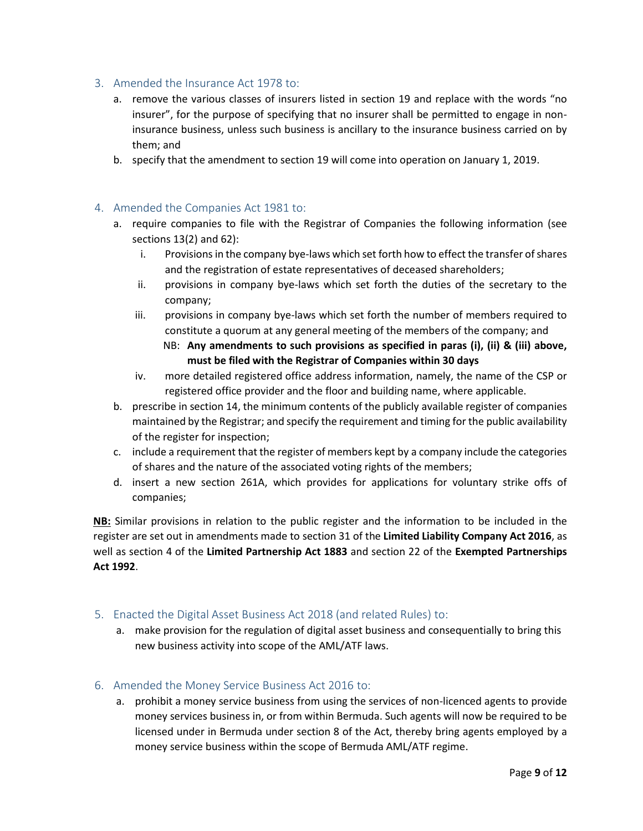- 3. Amended the Insurance Act 1978 to:
	- a. remove the various classes of insurers listed in section 19 and replace with the words "no insurer", for the purpose of specifying that no insurer shall be permitted to engage in noninsurance business, unless such business is ancillary to the insurance business carried on by them; and
	- b. specify that the amendment to section 19 will come into operation on January 1, 2019.

#### 4. Amended the Companies Act 1981 to:

- a. require companies to file with the Registrar of Companies the following information (see sections 13(2) and 62):
	- i. Provisions in the company bye-laws which set forth how to effect the transfer of shares and the registration of estate representatives of deceased shareholders;
	- ii. provisions in company bye-laws which set forth the duties of the secretary to the company;
	- iii. provisions in company bye-laws which set forth the number of members required to constitute a quorum at any general meeting of the members of the company; and
		- NB: **Any amendments to such provisions as specified in paras (i), (ii) & (iii) above, must be filed with the Registrar of Companies within 30 days**
	- iv. more detailed registered office address information, namely, the name of the CSP or registered office provider and the floor and building name, where applicable.
- b. prescribe in section 14, the minimum contents of the publicly available register of companies maintained by the Registrar; and specify the requirement and timing for the public availability of the register for inspection;
- c. include a requirement that the register of members kept by a company include the categories of shares and the nature of the associated voting rights of the members;
- d. insert a new section 261A, which provides for applications for voluntary strike offs of companies;

**NB:** Similar provisions in relation to the public register and the information to be included in the register are set out in amendments made to section 31 of the **Limited Liability Company Act 2016**, as well as section 4 of the **Limited Partnership Act 1883** and section 22 of the **Exempted Partnerships Act 1992**.

- 5. Enacted the Digital Asset Business Act 2018 (and related Rules) to:
	- a. make provision for the regulation of digital asset business and consequentially to bring this new business activity into scope of the AML/ATF laws.
- 6. Amended the Money Service Business Act 2016 to:
	- a. prohibit a money service business from using the services of non-licenced agents to provide money services business in, or from within Bermuda. Such agents will now be required to be licensed under in Bermuda under section 8 of the Act, thereby bring agents employed by a money service business within the scope of Bermuda AML/ATF regime.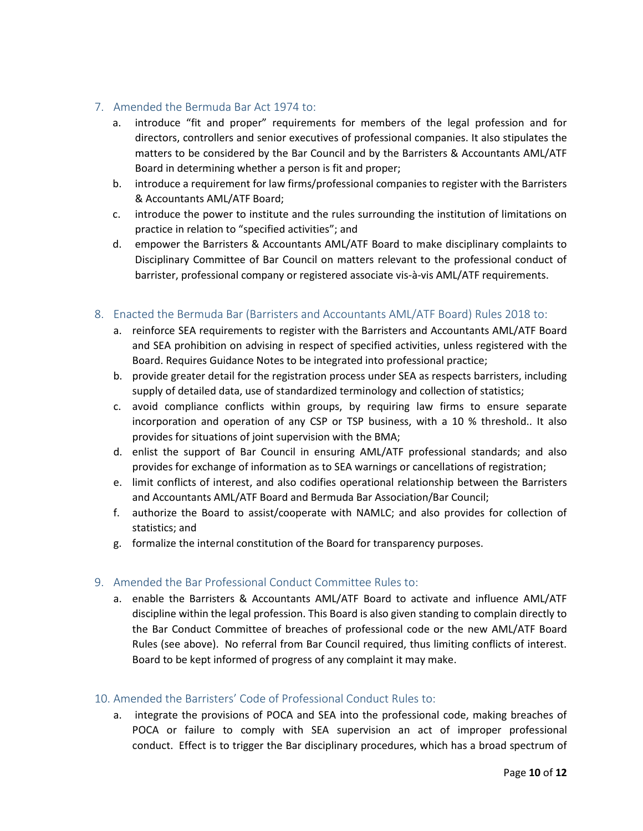#### 7. Amended the Bermuda Bar Act 1974 to:

- a. introduce "fit and proper" requirements for members of the legal profession and for directors, controllers and senior executives of professional companies. It also stipulates the matters to be considered by the Bar Council and by the Barristers & Accountants AML/ATF Board in determining whether a person is fit and proper;
- b. introduce a requirement for law firms/professional companies to register with the Barristers & Accountants AML/ATF Board;
- c. introduce the power to institute and the rules surrounding the institution of limitations on practice in relation to "specified activities"; and
- d. empower the Barristers & Accountants AML/ATF Board to make disciplinary complaints to Disciplinary Committee of Bar Council on matters relevant to the professional conduct of barrister, professional company or registered associate vis-à-vis AML/ATF requirements.

#### 8. Enacted the Bermuda Bar (Barristers and Accountants AML/ATF Board) Rules 2018 to:

- a. reinforce SEA requirements to register with the Barristers and Accountants AML/ATF Board and SEA prohibition on advising in respect of specified activities, unless registered with the Board. Requires Guidance Notes to be integrated into professional practice;
- b. provide greater detail for the registration process under SEA as respects barristers, including supply of detailed data, use of standardized terminology and collection of statistics;
- c. avoid compliance conflicts within groups, by requiring law firms to ensure separate incorporation and operation of any CSP or TSP business, with a 10 % threshold.. It also provides for situations of joint supervision with the BMA;
- d. enlist the support of Bar Council in ensuring AML/ATF professional standards; and also provides for exchange of information as to SEA warnings or cancellations of registration;
- e. limit conflicts of interest, and also codifies operational relationship between the Barristers and Accountants AML/ATF Board and Bermuda Bar Association/Bar Council;
- f. authorize the Board to assist/cooperate with NAMLC; and also provides for collection of statistics; and
- g. formalize the internal constitution of the Board for transparency purposes.

#### 9. Amended the Bar Professional Conduct Committee Rules to:

a. enable the Barristers & Accountants AML/ATF Board to activate and influence AML/ATF discipline within the legal profession. This Board is also given standing to complain directly to the Bar Conduct Committee of breaches of professional code or the new AML/ATF Board Rules (see above). No referral from Bar Council required, thus limiting conflicts of interest. Board to be kept informed of progress of any complaint it may make.

#### 10. Amended the Barristers' Code of Professional Conduct Rules to:

a. integrate the provisions of POCA and SEA into the professional code, making breaches of POCA or failure to comply with SEA supervision an act of improper professional conduct. Effect is to trigger the Bar disciplinary procedures, which has a broad spectrum of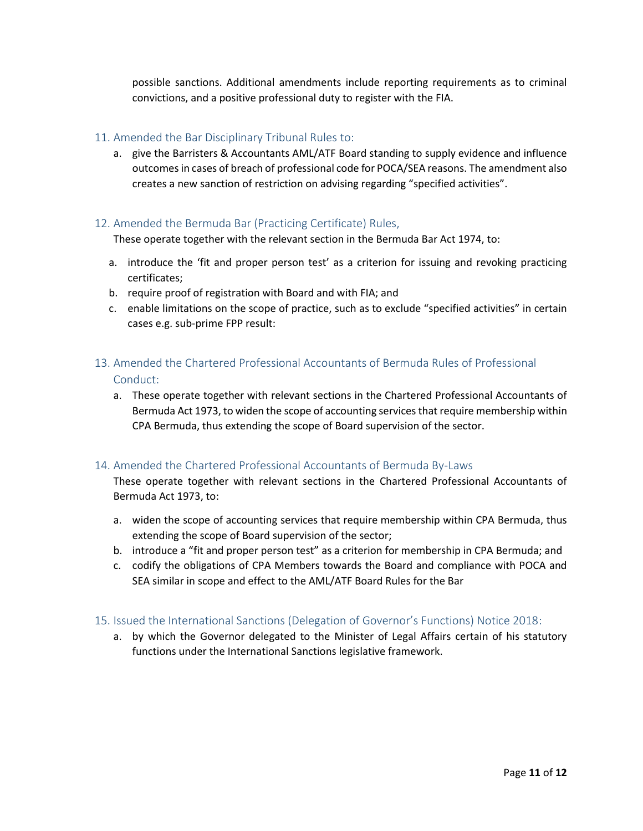possible sanctions. Additional amendments include reporting requirements as to criminal convictions, and a positive professional duty to register with the FIA.

#### 11. Amended the Bar Disciplinary Tribunal Rules to:

a. give the Barristers & Accountants AML/ATF Board standing to supply evidence and influence outcomesin cases of breach of professional code for POCA/SEA reasons. The amendment also creates a new sanction of restriction on advising regarding "specified activities".

#### 12. Amended the Bermuda Bar (Practicing Certificate) Rules,

These operate together with the relevant section in the Bermuda Bar Act 1974, to:

- a. introduce the 'fit and proper person test' as a criterion for issuing and revoking practicing certificates;
- b. require proof of registration with Board and with FIA; and
- c. enable limitations on the scope of practice, such as to exclude "specified activities" in certain cases e.g. sub-prime FPP result:

#### 13. Amended the Chartered Professional Accountants of Bermuda Rules of Professional Conduct:

a. These operate together with relevant sections in the Chartered Professional Accountants of Bermuda Act 1973, to widen the scope of accounting services that require membership within CPA Bermuda, thus extending the scope of Board supervision of the sector.

#### 14. Amended the Chartered Professional Accountants of Bermuda By-Laws

These operate together with relevant sections in the Chartered Professional Accountants of Bermuda Act 1973, to:

- a. widen the scope of accounting services that require membership within CPA Bermuda, thus extending the scope of Board supervision of the sector;
- b. introduce a "fit and proper person test" as a criterion for membership in CPA Bermuda; and
- c. codify the obligations of CPA Members towards the Board and compliance with POCA and SEA similar in scope and effect to the AML/ATF Board Rules for the Bar

#### 15. Issued the International Sanctions (Delegation of Governor's Functions) Notice 2018:

a. by which the Governor delegated to the Minister of Legal Affairs certain of his statutory functions under the International Sanctions legislative framework.